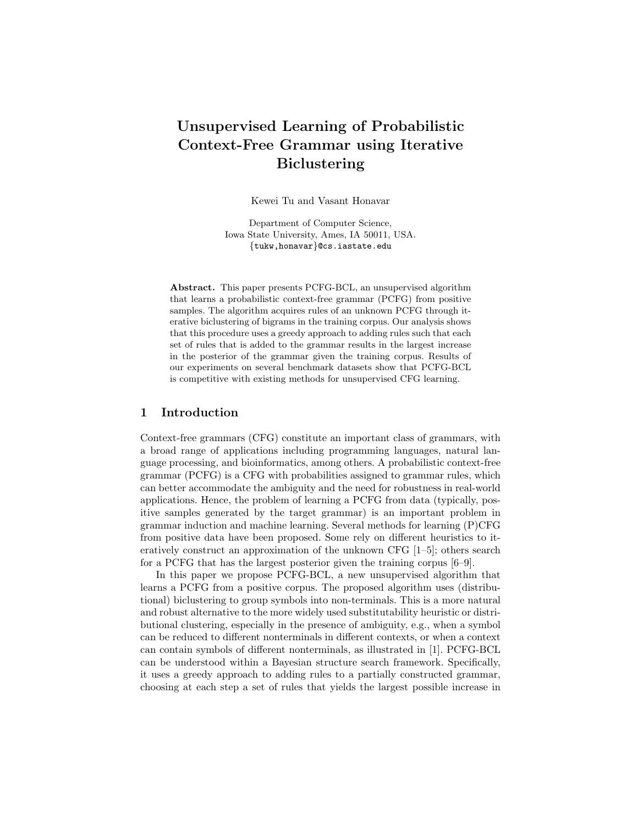# Unsupervised Learning of Probabilistic Context-Free Grammar using Iterative Biclustering

Kewei Tu and Vasant Honavar

Department of Computer Science, Iowa State University, Ames, IA 50011, USA. {tukw,honavar}@cs.iastate.edu

Abstract. This paper presents PCFG-BCL, an unsupervised algorithm that learns a probabilistic context-free grammar (PCFG) from positive samples. The algorithm acquires rules of an unknown PCFG through iterative biclustering of bigrams in the training corpus. Our analysis shows that this procedure uses a greedy approach to adding rules such that each set of rules that is added to the grammar results in the largest increase in the posterior of the grammar given the training corpus. Results of our experiments on several benchmark datasets show that PCFG-BCL is competitive with existing methods for unsupervised CFG learning.

## 1 Introduction

Context-free grammars (CFG) constitute an important class of grammars, with a broad range of applications including programming languages, natural language processing, and bioinformatics, among others. A probabilistic context-free grammar (PCFG) is a CFG with probabilities assigned to grammar rules, which can better accommodate the ambiguity and the need for robustness in real-world applications. Hence, the problem of learning a PCFG from data (typically, positive samples generated by the target grammar) is an important problem in grammar induction and machine learning. Several methods for learning (P)CFG from positive data have been proposed. Some rely on different heuristics to iteratively construct an approximation of the unknown CFG [1–5]; others search for a PCFG that has the largest posterior given the training corpus [6–9].

In this paper we propose PCFG-BCL, a new unsupervised algorithm that learns a PCFG from a positive corpus. The proposed algorithm uses (distributional) biclustering to group symbols into non-terminals. This is a more natural and robust alternative to the more widely used substitutability heuristic or distributional clustering, especially in the presence of ambiguity, e.g., when a symbol can be reduced to different nonterminals in different contexts, or when a context can contain symbols of different nonterminals, as illustrated in [1]. PCFG-BCL can be understood within a Bayesian structure search framework. Specifically, it uses a greedy approach to adding rules to a partially constructed grammar, choosing at each step a set of rules that yields the largest possible increase in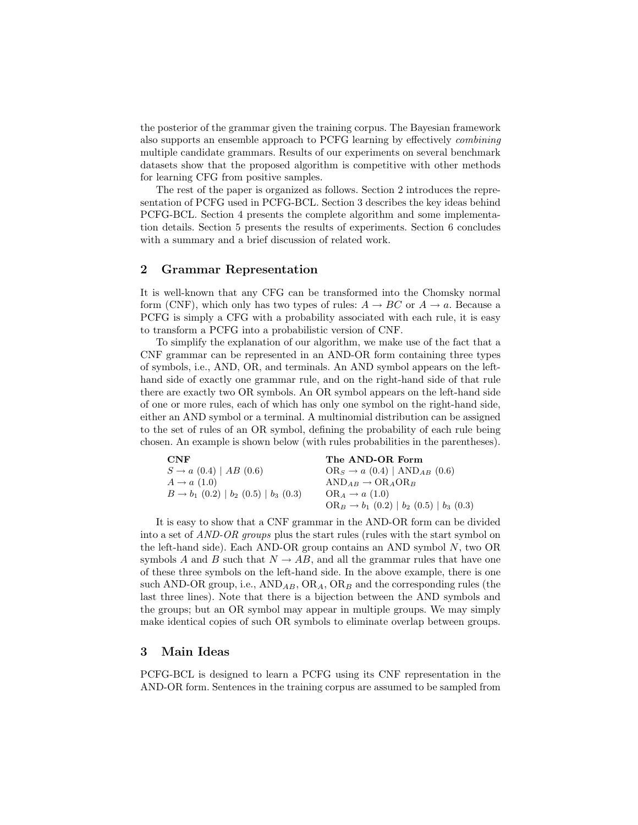the posterior of the grammar given the training corpus. The Bayesian framework also supports an ensemble approach to PCFG learning by effectively combining multiple candidate grammars. Results of our experiments on several benchmark datasets show that the proposed algorithm is competitive with other methods for learning CFG from positive samples.

The rest of the paper is organized as follows. Section 2 introduces the representation of PCFG used in PCFG-BCL. Section 3 describes the key ideas behind PCFG-BCL. Section 4 presents the complete algorithm and some implementation details. Section 5 presents the results of experiments. Section 6 concludes with a summary and a brief discussion of related work.

# 2 Grammar Representation

It is well-known that any CFG can be transformed into the Chomsky normal form (CNF), which only has two types of rules:  $A \rightarrow BC$  or  $A \rightarrow a$ . Because a PCFG is simply a CFG with a probability associated with each rule, it is easy to transform a PCFG into a probabilistic version of CNF.

To simplify the explanation of our algorithm, we make use of the fact that a CNF grammar can be represented in an AND-OR form containing three types of symbols, i.e., AND, OR, and terminals. An AND symbol appears on the lefthand side of exactly one grammar rule, and on the right-hand side of that rule there are exactly two OR symbols. An OR symbol appears on the left-hand side of one or more rules, each of which has only one symbol on the right-hand side, either an AND symbol or a terminal. A multinomial distribution can be assigned to the set of rules of an OR symbol, defining the probability of each rule being chosen. An example is shown below (with rules probabilities in the parentheses).

| $\mathbf C\mathbf N\mathbf F$                         | The AND-OR Form                                          |
|-------------------------------------------------------|----------------------------------------------------------|
| $S \to a(0.4)$   AB (0.6)                             | $OR_S \rightarrow a (0.4)   AND_{AB} (0.6)$              |
| $A \rightarrow a(1.0)$                                | $AND_{AB} \rightarrow OR_{A}OR_{B}$                      |
| $B \rightarrow b_1$ (0.2)   $b_2$ (0.5)   $b_3$ (0.3) | $OR_A \rightarrow a(1.0)$                                |
|                                                       | $OR_B \rightarrow b_1$ (0.2)   $b_2$ (0.5)   $b_3$ (0.3) |

It is easy to show that a CNF grammar in the AND-OR form can be divided into a set of AND-OR groups plus the start rules (rules with the start symbol on the left-hand side). Each AND-OR group contains an AND symbol N, two OR symbols A and B such that  $N \to AB$ , and all the grammar rules that have one of these three symbols on the left-hand side. In the above example, there is one such AND-OR group, i.e.,  $AND_{AB}$ ,  $OR_A$ ,  $OR_B$  and the corresponding rules (the last three lines). Note that there is a bijection between the AND symbols and the groups; but an OR symbol may appear in multiple groups. We may simply make identical copies of such OR symbols to eliminate overlap between groups.

# 3 Main Ideas

PCFG-BCL is designed to learn a PCFG using its CNF representation in the AND-OR form. Sentences in the training corpus are assumed to be sampled from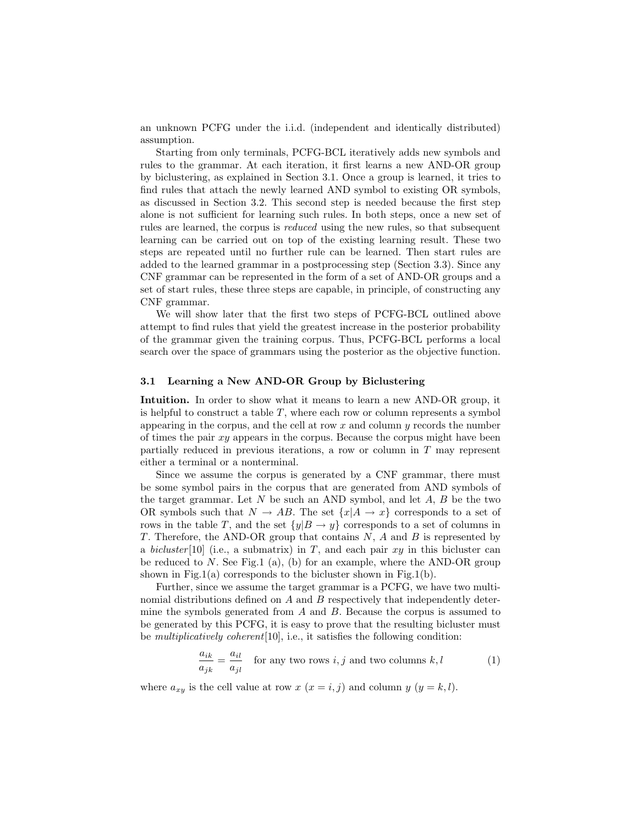an unknown PCFG under the i.i.d. (independent and identically distributed) assumption.

Starting from only terminals, PCFG-BCL iteratively adds new symbols and rules to the grammar. At each iteration, it first learns a new AND-OR group by biclustering, as explained in Section 3.1. Once a group is learned, it tries to find rules that attach the newly learned AND symbol to existing OR symbols, as discussed in Section 3.2. This second step is needed because the first step alone is not sufficient for learning such rules. In both steps, once a new set of rules are learned, the corpus is reduced using the new rules, so that subsequent learning can be carried out on top of the existing learning result. These two steps are repeated until no further rule can be learned. Then start rules are added to the learned grammar in a postprocessing step (Section 3.3). Since any CNF grammar can be represented in the form of a set of AND-OR groups and a set of start rules, these three steps are capable, in principle, of constructing any CNF grammar.

We will show later that the first two steps of PCFG-BCL outlined above attempt to find rules that yield the greatest increase in the posterior probability of the grammar given the training corpus. Thus, PCFG-BCL performs a local search over the space of grammars using the posterior as the objective function.

#### 3.1 Learning a New AND-OR Group by Biclustering

Intuition. In order to show what it means to learn a new AND-OR group, it is helpful to construct a table  $T$ , where each row or column represents a symbol appearing in the corpus, and the cell at row  $x$  and column  $y$  records the number of times the pair xy appears in the corpus. Because the corpus might have been partially reduced in previous iterations, a row or column in T may represent either a terminal or a nonterminal.

Since we assume the corpus is generated by a CNF grammar, there must be some symbol pairs in the corpus that are generated from AND symbols of the target grammar. Let  $N$  be such an AND symbol, and let  $A, B$  be the two OR symbols such that  $N \to AB$ . The set  $\{x | A \to x\}$  corresponds to a set of rows in the table T, and the set  $\{y|B \to y\}$  corresponds to a set of columns in T. Therefore, the AND-OR group that contains  $N$ ,  $A$  and  $B$  is represented by a bicluster [10] (i.e., a submatrix) in T, and each pair  $xy$  in this bicluster can be reduced to  $N$ . See Fig.1 (a), (b) for an example, where the AND-OR group shown in Fig.1(a) corresponds to the bicluster shown in Fig.1(b).

Further, since we assume the target grammar is a PCFG, we have two multinomial distributions defined on A and B respectively that independently determine the symbols generated from  $A$  and  $B$ . Because the corpus is assumed to be generated by this PCFG, it is easy to prove that the resulting bicluster must be *multiplicatively coherent* [10], i.e., it satisfies the following condition:

$$
\frac{a_{ik}}{a_{jk}} = \frac{a_{il}}{a_{jl}}
$$
 for any two rows *i*, *j* and two columns *k*, *l* (1)

where  $a_{xy}$  is the cell value at row  $x(x=i, j)$  and column  $y(y=k, l)$ .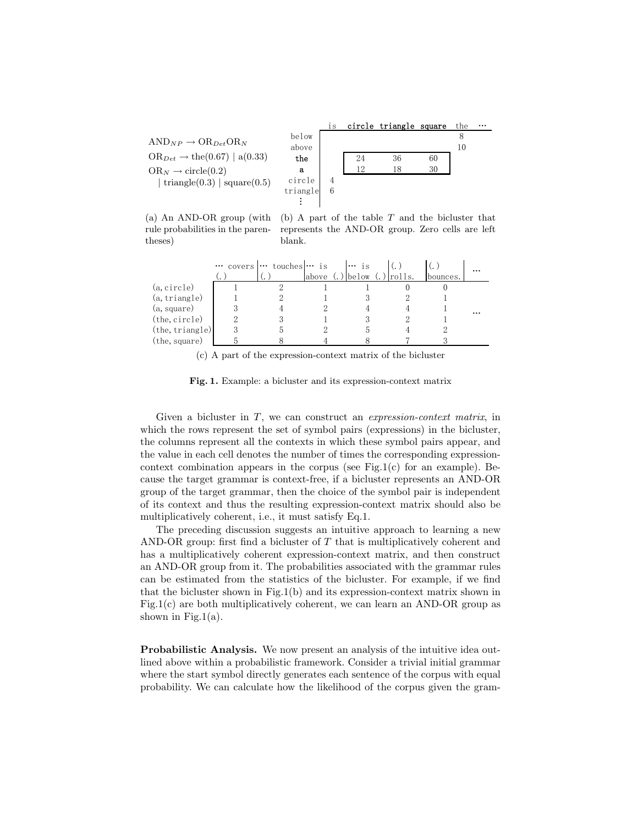

(a) An AND-OR group (with rule probabilities in the parentheses)

(b) A part of the table  $T$  and the bicluster that represents the AND-OR group. Zero cells are left blank.

|                 | covers  touches  is | $\cdots$ is<br>$\lambda$ above (.) $\lambda$ below (.) $\lambda$ rolls. | bounces. | $\cdots$ |
|-----------------|---------------------|-------------------------------------------------------------------------|----------|----------|
| (a, circle)     |                     |                                                                         |          |          |
| (a, triangle)   |                     |                                                                         |          |          |
| (a, square)     |                     |                                                                         |          | $\cdots$ |
| (the, circle)   |                     |                                                                         |          |          |
| (the, triangle) |                     |                                                                         |          |          |
| (the, square)   |                     |                                                                         |          |          |

(c) A part of the expression-context matrix of the bicluster

Fig. 1. Example: a bicluster and its expression-context matrix

Given a bicluster in  $T$ , we can construct an *expression-context matrix*, in which the rows represent the set of symbol pairs (expressions) in the bicluster, the columns represent all the contexts in which these symbol pairs appear, and the value in each cell denotes the number of times the corresponding expressioncontext combination appears in the corpus (see Fig.1(c) for an example). Because the target grammar is context-free, if a bicluster represents an AND-OR group of the target grammar, then the choice of the symbol pair is independent of its context and thus the resulting expression-context matrix should also be multiplicatively coherent, i.e., it must satisfy Eq.1.

The preceding discussion suggests an intuitive approach to learning a new AND-OR group: first find a bicluster of T that is multiplicatively coherent and has a multiplicatively coherent expression-context matrix, and then construct an AND-OR group from it. The probabilities associated with the grammar rules can be estimated from the statistics of the bicluster. For example, if we find that the bicluster shown in Fig.1(b) and its expression-context matrix shown in Fig.1(c) are both multiplicatively coherent, we can learn an AND-OR group as shown in Fig.1 $(a)$ .

Probabilistic Analysis. We now present an analysis of the intuitive idea outlined above within a probabilistic framework. Consider a trivial initial grammar where the start symbol directly generates each sentence of the corpus with equal probability. We can calculate how the likelihood of the corpus given the gram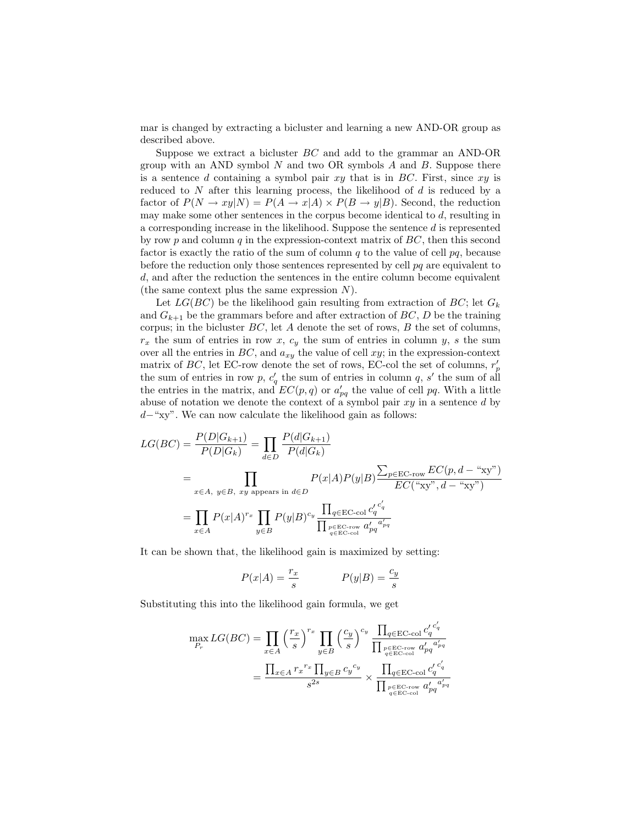mar is changed by extracting a bicluster and learning a new AND-OR group as described above.

Suppose we extract a bicluster BC and add to the grammar an AND-OR group with an AND symbol  $N$  and two OR symbols  $A$  and  $B$ . Suppose there is a sentence d containing a symbol pair  $xy$  that is in  $BC$ . First, since  $xy$  is reduced to  $N$  after this learning process, the likelihood of  $d$  is reduced by a factor of  $P(N \to xy|N) = P(A \to x|A) \times P(B \to y|B)$ . Second, the reduction may make some other sentences in the corpus become identical to  $d$ , resulting in a corresponding increase in the likelihood. Suppose the sentence d is represented by row  $p$  and column  $q$  in the expression-context matrix of  $BC$ , then this second factor is exactly the ratio of the sum of column  $q$  to the value of cell  $pq$ , because before the reduction only those sentences represented by cell  $pq$  are equivalent to d, and after the reduction the sentences in the entire column become equivalent (the same context plus the same expression  $N$ ).

Let  $LG(BC)$  be the likelihood gain resulting from extraction of  $BC$ ; let  $G_k$ and  $G_{k+1}$  be the grammars before and after extraction of  $BC$ , D be the training corpus; in the bicluster  $BC$ , let A denote the set of rows, B the set of columns,  $r_x$  the sum of entries in row x,  $c_y$  the sum of entries in column y, s the sum over all the entries in  $BC$ , and  $a_{xy}$  the value of cell  $xy$ ; in the expression-context matrix of BC, let EC-row denote the set of rows, EC-col the set of columns,  $r'_i$ matrix of *DC*, let EC-low denote the set of lows, EC-col the set of columns,  $r_p$  the sum of entries in row p,  $c'_q$  the sum of entries in column q, s' the sum of all the entries in the matrix, and  $EC(p,q)$  or  $a'_{pq}$  the value of cell pq. With a little abuse of notation we denote the context of a symbol pair  $xy$  in a sentence d by d−"xy". We can now calculate the likelihood gain as follows:

$$
LG(BC) = \frac{P(D|G_{k+1})}{P(D|G_k)} = \prod_{d \in D} \frac{P(d|G_{k+1})}{P(d|G_k)}
$$
  
= 
$$
\prod_{x \in A, y \in B, xy \text{ appears in } d \in D} P(x|A)P(y|B) \frac{\sum_{p \in EC \text{-row}} EC(p, d - "xy")}{EC("xy", d - "xy")}
$$
  
= 
$$
\prod_{x \in A} P(x|A)^{r_x} \prod_{y \in B} P(y|B)^{c_y} \frac{\prod_{q \in EC \text{-col}} c'_q^{c'_q}}{\prod_{\substack{p \in EC \text{-row} \\ q \in EC \text{-col}}} a'_p a^{\frac{c'_q}{p_q}}}
$$

It can be shown that, the likelihood gain is maximized by setting:

$$
P(x|A) = \frac{r_x}{s} \qquad P(y|B) = \frac{c_y}{s}
$$

Substituting this into the likelihood gain formula, we get

$$
\max_{P_r} LG(BC) = \prod_{x \in A} \left(\frac{r_x}{s}\right)^{r_x} \prod_{y \in B} \left(\frac{c_y}{s}\right)^{c_y} \frac{\prod_{q \in EC \text{-col}} c'_q^{c'_q}}{\prod_{\substack{q \in EC \text{-col} \\ q \in EC \text{-col}}} a'_{pq}^{a'_{pq}}}
$$
\n
$$
= \frac{\prod_{x \in A} r_x^{r_x} \prod_{y \in B} c_y^{c_y}}{s^{2s}} \times \frac{\prod_{q \in EC \text{-col}} c'_q^{c'_q}}{\prod_{\substack{r \in EC \text{-col} \\ q \in EC \text{-col}}} a'_{pq}^{a'_{pq}}}
$$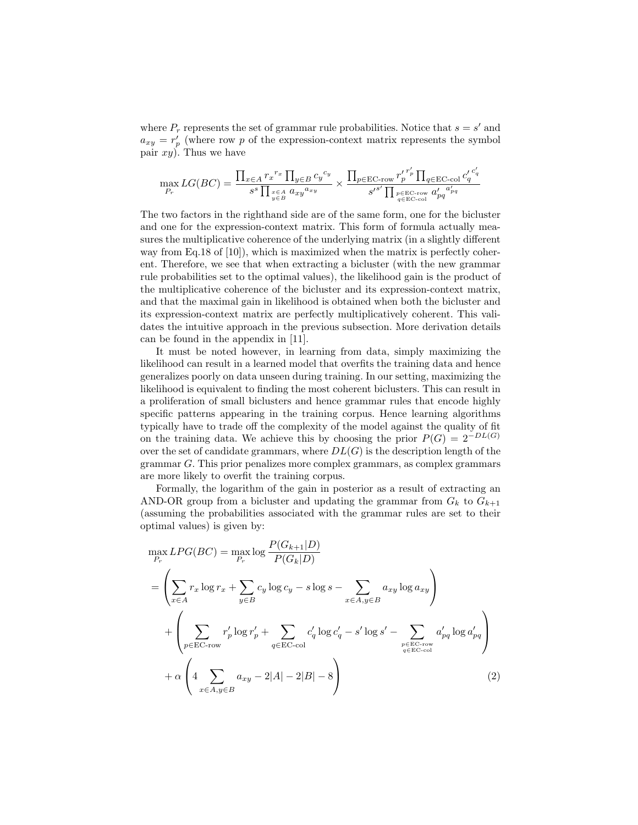where  $P_r$  represents the set of grammar rule probabilities. Notice that  $s = s'$  and  $a_{xy} = r'_p$  (where row p of the expression-context matrix represents the symbol pair  $xy$ ). Thus we have

$$
\max_{P_r} LG(BC) = \frac{\prod_{x \in A} r_x^{r_x} \prod_{y \in B} c_y^{c_y}}{s^s \prod_{\substack{x \in A \\ y \in B}} a_{xy}^{a_{xy}}} \times \frac{\prod_{p \in EC\text{-row}} r'^{r'_p} \prod_{q \in EC\text{-col}} c'^{c'_q}_{q}}{s'^{s'} \prod_{\substack{p \in EC\text{-row} \\ q \in EC\text{-col}}} a'_{pq}^{a'_{pq}}}
$$

The two factors in the righthand side are of the same form, one for the bicluster and one for the expression-context matrix. This form of formula actually measures the multiplicative coherence of the underlying matrix (in a slightly different way from Eq.18 of [10]), which is maximized when the matrix is perfectly coherent. Therefore, we see that when extracting a bicluster (with the new grammar rule probabilities set to the optimal values), the likelihood gain is the product of the multiplicative coherence of the bicluster and its expression-context matrix, and that the maximal gain in likelihood is obtained when both the bicluster and its expression-context matrix are perfectly multiplicatively coherent. This validates the intuitive approach in the previous subsection. More derivation details can be found in the appendix in [11].

It must be noted however, in learning from data, simply maximizing the likelihood can result in a learned model that overfits the training data and hence generalizes poorly on data unseen during training. In our setting, maximizing the likelihood is equivalent to finding the most coherent biclusters. This can result in a proliferation of small biclusters and hence grammar rules that encode highly specific patterns appearing in the training corpus. Hence learning algorithms typically have to trade off the complexity of the model against the quality of fit on the training data. We achieve this by choosing the prior  $P(G) = 2^{-DL(G)}$ over the set of candidate grammars, where  $DL(G)$  is the description length of the grammar G. This prior penalizes more complex grammars, as complex grammars are more likely to overfit the training corpus.

Formally, the logarithm of the gain in posterior as a result of extracting an AND-OR group from a bicluster and updating the grammar from  $G_k$  to  $G_{k+1}$ (assuming the probabilities associated with the grammar rules are set to their optimal values) is given by:

$$
\max_{P_r} LPG(BC) = \max_{P_r} \log \frac{P(G_{k+1}|D)}{P(G_k|D)}
$$
\n
$$
= \left(\sum_{x \in A} r_x \log r_x + \sum_{y \in B} c_y \log c_y - s \log s - \sum_{x \in A, y \in B} a_{xy} \log a_{xy}\right) + \left(\sum_{p \in EC-row} r'_p \log r'_p + \sum_{q \in EC-col} c'_q \log c'_q - s' \log s' - \sum_{p \in EC-row} a'_{pq} \log a'_{pq}\right) + \alpha \left(4 \sum_{x \in A, y \in B} a_{xy} - 2|A| - 2|B| - 8\right)
$$
\n(2)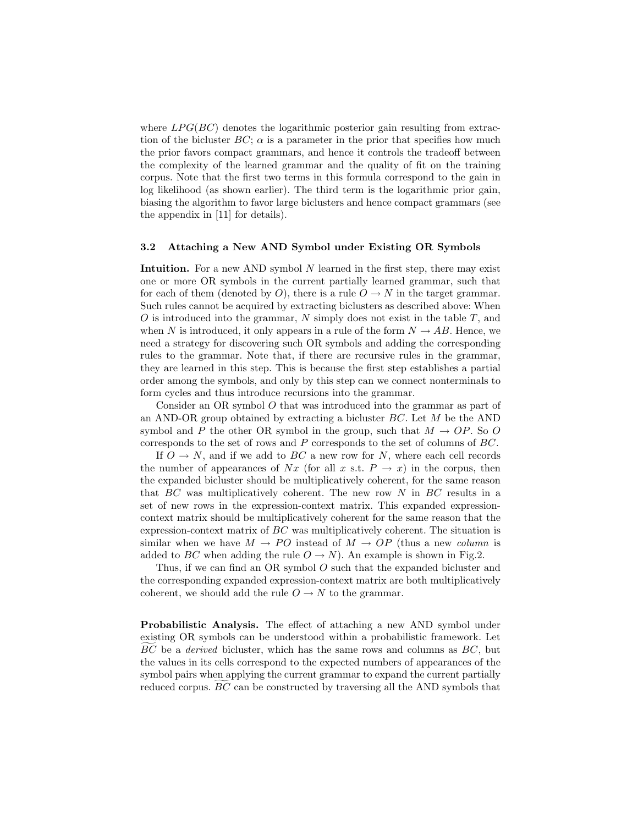where  $LPG(BC)$  denotes the logarithmic posterior gain resulting from extraction of the bicluster  $BC$ ;  $\alpha$  is a parameter in the prior that specifies how much the prior favors compact grammars, and hence it controls the tradeoff between the complexity of the learned grammar and the quality of fit on the training corpus. Note that the first two terms in this formula correspond to the gain in log likelihood (as shown earlier). The third term is the logarithmic prior gain, biasing the algorithm to favor large biclusters and hence compact grammars (see the appendix in [11] for details).

#### 3.2 Attaching a New AND Symbol under Existing OR Symbols

Intuition. For a new AND symbol N learned in the first step, there may exist one or more OR symbols in the current partially learned grammar, such that for each of them (denoted by O), there is a rule  $O \rightarrow N$  in the target grammar. Such rules cannot be acquired by extracting biclusters as described above: When O is introduced into the grammar,  $N$  simply does not exist in the table  $T$ , and when N is introduced, it only appears in a rule of the form  $N \to AB$ . Hence, we need a strategy for discovering such OR symbols and adding the corresponding rules to the grammar. Note that, if there are recursive rules in the grammar, they are learned in this step. This is because the first step establishes a partial order among the symbols, and only by this step can we connect nonterminals to form cycles and thus introduce recursions into the grammar.

Consider an OR symbol O that was introduced into the grammar as part of an AND-OR group obtained by extracting a bicluster BC. Let M be the AND symbol and P the other OR symbol in the group, such that  $M \to OP$ . So O corresponds to the set of rows and P corresponds to the set of columns of BC.

If  $O \to N$ , and if we add to BC a new row for N, where each cell records the number of appearances of Nx (for all x s.t.  $P \rightarrow x$ ) in the corpus, then the expanded bicluster should be multiplicatively coherent, for the same reason that  $BC$  was multiplicatively coherent. The new row  $N$  in  $BC$  results in a set of new rows in the expression-context matrix. This expanded expressioncontext matrix should be multiplicatively coherent for the same reason that the expression-context matrix of BC was multiplicatively coherent. The situation is similar when we have  $M \to PO$  instead of  $M \to OP$  (thus a new *column* is added to BC when adding the rule  $O \rightarrow N$ ). An example is shown in Fig.2.

Thus, if we can find an OR symbol O such that the expanded bicluster and the corresponding expanded expression-context matrix are both multiplicatively coherent, we should add the rule  $O \rightarrow N$  to the grammar.

Probabilistic Analysis. The effect of attaching a new AND symbol under existing OR symbols can be understood within a probabilistic framework. Let  $BC$  be a *derived* bicluster, which has the same rows and columns as  $BC$ , but the values in its cells correspond to the expected numbers of appearances of the symbol pairs when applying the current grammar to expand the current partially reduced corpus.  $BC$  can be constructed by traversing all the AND symbols that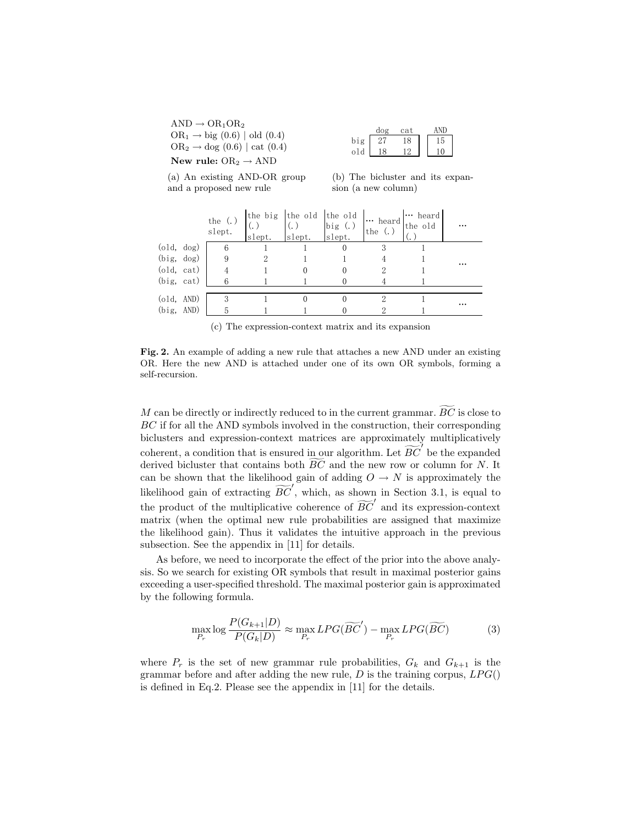|                                                                                                 | $AND \rightarrow OR_1OR_2$<br>New rule: $OR_2 \rightarrow AND$<br>and a proposed new rule | $OR_1 \rightarrow big (0.6)   old (0.4)$<br>$OR_2 \rightarrow dog (0.6)$   cat (0.4)<br>(a) An existing AND-OR group | dog<br>AND<br>cat<br>27<br>18<br>big<br>15<br>18<br>old<br>12<br>10<br>(b) The bicluster and its expan-<br>sion (a new column) |                                  |                    |                         |  |  |
|-------------------------------------------------------------------------------------------------|-------------------------------------------------------------------------------------------|----------------------------------------------------------------------------------------------------------------------|--------------------------------------------------------------------------------------------------------------------------------|----------------------------------|--------------------|-------------------------|--|--|
|                                                                                                 | the $(.)$<br>slept.                                                                       | slept.                                                                                                               | the big the old<br>$\left( \begin{matrix} . \end{matrix} \right)$ $\left( \begin{matrix} . \end{matrix} \right)$<br>slept.     | the old<br>$big($ .)<br>slept.   | heard<br>the $(.)$ | heard<br>the old<br>(.) |  |  |
| $\left( \text{old}, \text{dog} \right)$<br>(big, dog)<br>$\text{old}, \text{cat}$<br>(big, cat) | 6<br>9<br>$\overline{4}$<br>$6\overline{6}$                                               | 2                                                                                                                    | 0                                                                                                                              | $\Omega$<br>$\Omega$<br>$\Omega$ | 3<br>4<br>2<br>4   |                         |  |  |
| $\text{(old, AND)}$<br>(big, AND)                                                               | 3<br>5                                                                                    |                                                                                                                      | 0                                                                                                                              | $\Omega$                         | 2                  |                         |  |  |

(c) The expression-context matrix and its expansion

Fig. 2. An example of adding a new rule that attaches a new AND under an existing OR. Here the new AND is attached under one of its own OR symbols, forming a self-recursion.

 $M$  can be directly or indirectly reduced to in the current grammar.  $\overline{BC}$  is close to BC if for all the AND symbols involved in the construction, their corresponding biclusters and expression-context matrices are approximately multiplicatively coherent, a condition that is ensured in our algorithm. Let  $\widetilde{BC}$  be the expanded derived bicluster that contains both  $\overline{BC}$  and the new row or column for N. It can be shown that the likelihood gain of adding  $O \rightarrow N$  is approximately the likelihood gain of extracting  $\widetilde{BC}'$ , which, as shown in Section 3.1, is equal to the product of the multiplicative coherence of  $\widetilde{BC}'$  and its expression-context matrix (when the optimal new rule probabilities are assigned that maximize the likelihood gain). Thus it validates the intuitive approach in the previous subsection. See the appendix in [11] for details.

As before, we need to incorporate the effect of the prior into the above analysis. So we search for existing OR symbols that result in maximal posterior gains exceeding a user-specified threshold. The maximal posterior gain is approximated by the following formula.

$$
\max_{P_r} \log \frac{P(G_{k+1}|D)}{P(G_k|D)} \approx \max_{P_r} LPG(\widetilde{BC}') - \max_{P_r} LPG(\widetilde{BC})
$$
(3)

where  $P_r$  is the set of new grammar rule probabilities,  $G_k$  and  $G_{k+1}$  is the grammar before and after adding the new rule,  $D$  is the training corpus,  $LPG()$ is defined in Eq.2. Please see the appendix in [11] for the details.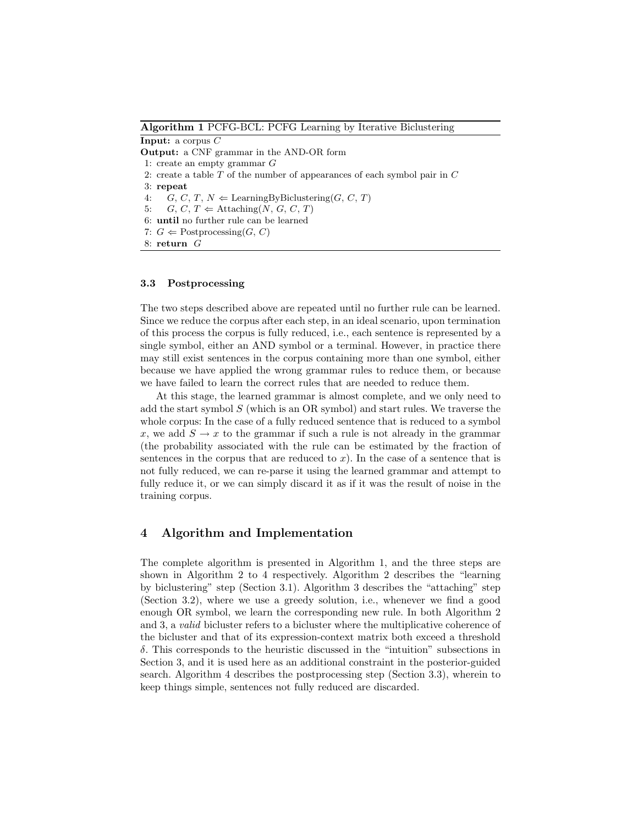Algorithm 1 PCFG-BCL: PCFG Learning by Iterative Biclustering

Input: a corpus C Output: a CNF grammar in the AND-OR form 1: create an empty grammar G 2: create a table T of the number of appearances of each symbol pair in C 3: repeat 4:  $G, C, T, N \leftarrow \text{LearningByBiclustering}(G, C, T)$ 5:  $G, C, T \Leftarrow$  Attaching(N, G, C, T) 6: until no further rule can be learned 7:  $G \leftarrow$  Postprocessing(G, C) 8: return G

## 3.3 Postprocessing

The two steps described above are repeated until no further rule can be learned. Since we reduce the corpus after each step, in an ideal scenario, upon termination of this process the corpus is fully reduced, i.e., each sentence is represented by a single symbol, either an AND symbol or a terminal. However, in practice there may still exist sentences in the corpus containing more than one symbol, either because we have applied the wrong grammar rules to reduce them, or because we have failed to learn the correct rules that are needed to reduce them.

At this stage, the learned grammar is almost complete, and we only need to add the start symbol  $S$  (which is an OR symbol) and start rules. We traverse the whole corpus: In the case of a fully reduced sentence that is reduced to a symbol x, we add  $S \rightarrow x$  to the grammar if such a rule is not already in the grammar (the probability associated with the rule can be estimated by the fraction of sentences in the corpus that are reduced to x). In the case of a sentence that is not fully reduced, we can re-parse it using the learned grammar and attempt to fully reduce it, or we can simply discard it as if it was the result of noise in the training corpus.

# 4 Algorithm and Implementation

The complete algorithm is presented in Algorithm 1, and the three steps are shown in Algorithm 2 to 4 respectively. Algorithm 2 describes the "learning by biclustering" step (Section 3.1). Algorithm 3 describes the "attaching" step (Section 3.2), where we use a greedy solution, i.e., whenever we find a good enough OR symbol, we learn the corresponding new rule. In both Algorithm 2 and 3, a valid bicluster refers to a bicluster where the multiplicative coherence of the bicluster and that of its expression-context matrix both exceed a threshold δ. This corresponds to the heuristic discussed in the "intuition" subsections in Section 3, and it is used here as an additional constraint in the posterior-guided search. Algorithm 4 describes the postprocessing step (Section 3.3), wherein to keep things simple, sentences not fully reduced are discarded.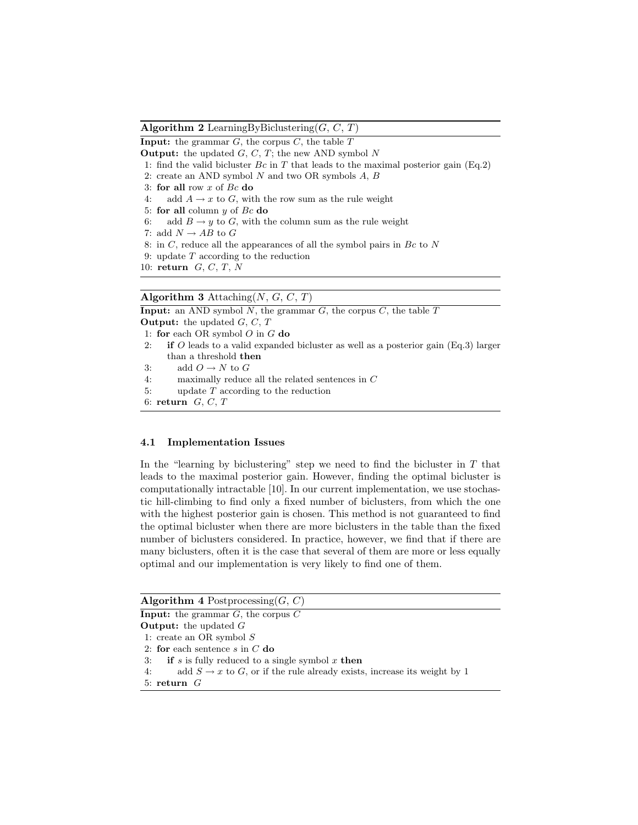Algorithm 2 LearningByBiclustering( $G, C, T$ )

**Input:** the grammar  $G$ , the corpus  $C$ , the table  $T$ **Output:** the updated  $G, C, T$ ; the new AND symbol  $N$ 1: find the valid bicluster  $Bc$  in T that leads to the maximal posterior gain (Eq.2)

- 2: create an AND symbol N and two OR symbols A, B
- 3: for all row  $x$  of  $Bc$  do
- 4: add  $A \rightarrow x$  to G, with the row sum as the rule weight
- 5: for all column  $y$  of  $Bc$  do
- 6: add  $B \to y$  to G, with the column sum as the rule weight
- 7: add  $N \rightarrow AB$  to G
- 8: in  $C$ , reduce all the appearances of all the symbol pairs in  $Bc$  to  $N$
- 9: update  $T$  according to the reduction
- 10: return G, C, T, N

## Algorithm 3 Attaching $(N, G, C, T)$

**Input:** an AND symbol N, the grammar  $G$ , the corpus  $C$ , the table  $T$ **Output:** the updated  $G, C, T$ 1: for each OR symbol  $O$  in  $G$  do 2: if O leads to a valid expanded bicluster as well as a posterior gain (Eq.3) larger than a threshold then 3: add  $O \rightarrow N$  to  $G$ 4: maximally reduce all the related sentences in C 5: update  $T$  according to the reduction 6: return  $G, C, T$ 

#### 4.1 Implementation Issues

In the "learning by biclustering" step we need to find the bicluster in  $T$  that leads to the maximal posterior gain. However, finding the optimal bicluster is computationally intractable [10]. In our current implementation, we use stochastic hill-climbing to find only a fixed number of biclusters, from which the one with the highest posterior gain is chosen. This method is not guaranteed to find the optimal bicluster when there are more biclusters in the table than the fixed number of biclusters considered. In practice, however, we find that if there are many biclusters, often it is the case that several of them are more or less equally optimal and our implementation is very likely to find one of them.

# Algorithm 4 Postprocessing $(G, C)$ **Input:** the grammar  $G$ , the corpus  $C$ Output: the updated G 1: create an OR symbol S 2: for each sentence  $s$  in  $C$  do 3: if s is fully reduced to a single symbol x then 4: add  $S \to x$  to G, or if the rule already exists, increase its weight by 1 5: return G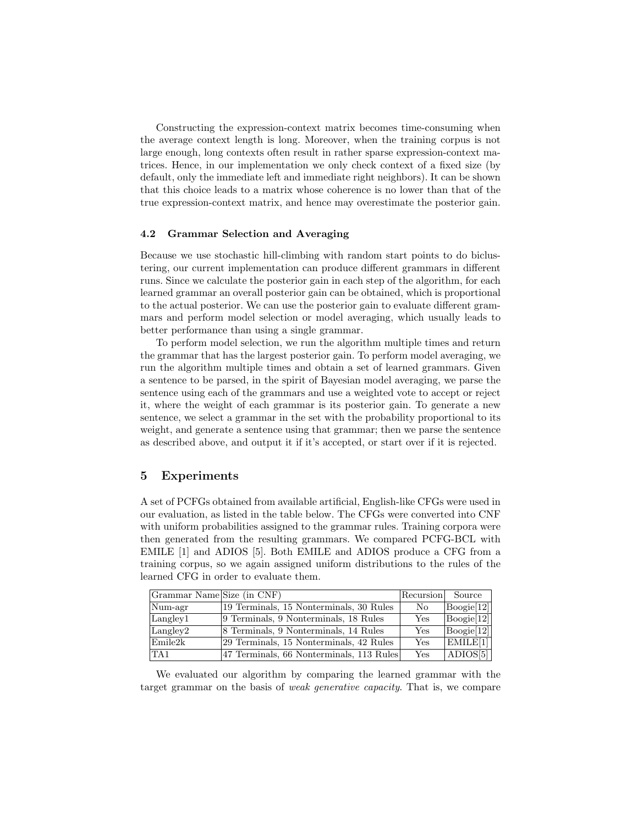Constructing the expression-context matrix becomes time-consuming when the average context length is long. Moreover, when the training corpus is not large enough, long contexts often result in rather sparse expression-context matrices. Hence, in our implementation we only check context of a fixed size (by default, only the immediate left and immediate right neighbors). It can be shown that this choice leads to a matrix whose coherence is no lower than that of the true expression-context matrix, and hence may overestimate the posterior gain.

## 4.2 Grammar Selection and Averaging

Because we use stochastic hill-climbing with random start points to do biclustering, our current implementation can produce different grammars in different runs. Since we calculate the posterior gain in each step of the algorithm, for each learned grammar an overall posterior gain can be obtained, which is proportional to the actual posterior. We can use the posterior gain to evaluate different grammars and perform model selection or model averaging, which usually leads to better performance than using a single grammar.

To perform model selection, we run the algorithm multiple times and return the grammar that has the largest posterior gain. To perform model averaging, we run the algorithm multiple times and obtain a set of learned grammars. Given a sentence to be parsed, in the spirit of Bayesian model averaging, we parse the sentence using each of the grammars and use a weighted vote to accept or reject it, where the weight of each grammar is its posterior gain. To generate a new sentence, we select a grammar in the set with the probability proportional to its weight, and generate a sentence using that grammar; then we parse the sentence as described above, and output it if it's accepted, or start over if it is rejected.

# 5 Experiments

A set of PCFGs obtained from available artificial, English-like CFGs were used in our evaluation, as listed in the table below. The CFGs were converted into CNF with uniform probabilities assigned to the grammar rules. Training corpora were then generated from the resulting grammars. We compared PCFG-BCL with EMILE [1] and ADIOS [5]. Both EMILE and ADIOS produce a CFG from a training corpus, so we again assigned uniform distributions to the rules of the learned CFG in order to evaluate them.

| Grammar Name Size (in CNF) |                                          | Recursion    | Source                            |
|----------------------------|------------------------------------------|--------------|-----------------------------------|
| $\text{Num-agr}$           | 19 Terminals, 15 Nonterminals, 30 Rules  | No           | Boogie[12]                        |
| $\text{Langlev1}$          | 9 Terminals, 9 Nonterminals, 18 Rules    | $_{\rm Yes}$ | Boogie[12]                        |
| Langley2                   | 8 Terminals, 9 Nonterminals, 14 Rules    | $_{\rm Yes}$ | $\vert$ Boogie $\vert$ 12 $\vert$ |
| Emile2k                    | 29 Terminals, 15 Nonterminals, 42 Rules  | Yes          | EMILE[1]                          |
| TA1                        | 47 Terminals, 66 Nonterminals, 113 Rules | Yes          | ADIOS[5]                          |

We evaluated our algorithm by comparing the learned grammar with the target grammar on the basis of weak generative capacity. That is, we compare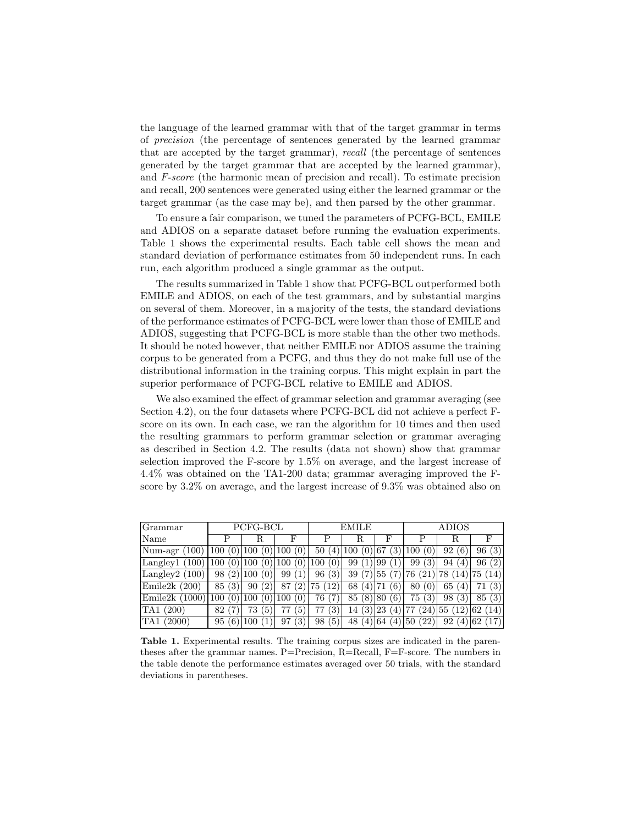the language of the learned grammar with that of the target grammar in terms of precision (the percentage of sentences generated by the learned grammar that are accepted by the target grammar), recall (the percentage of sentences generated by the target grammar that are accepted by the learned grammar), and F-score (the harmonic mean of precision and recall). To estimate precision and recall, 200 sentences were generated using either the learned grammar or the target grammar (as the case may be), and then parsed by the other grammar.

To ensure a fair comparison, we tuned the parameters of PCFG-BCL, EMILE and ADIOS on a separate dataset before running the evaluation experiments. Table 1 shows the experimental results. Each table cell shows the mean and standard deviation of performance estimates from 50 independent runs. In each run, each algorithm produced a single grammar as the output.

The results summarized in Table 1 show that PCFG-BCL outperformed both EMILE and ADIOS, on each of the test grammars, and by substantial margins on several of them. Moreover, in a majority of the tests, the standard deviations of the performance estimates of PCFG-BCL were lower than those of EMILE and ADIOS, suggesting that PCFG-BCL is more stable than the other two methods. It should be noted however, that neither EMILE nor ADIOS assume the training corpus to be generated from a PCFG, and thus they do not make full use of the distributional information in the training corpus. This might explain in part the superior performance of PCFG-BCL relative to EMILE and ADIOS.

We also examined the effect of grammar selection and grammar averaging (see Section 4.2), on the four datasets where PCFG-BCL did not achieve a perfect Fscore on its own. In each case, we ran the algorithm for 10 times and then used the resulting grammars to perform grammar selection or grammar averaging as described in Section 4.2. The results (data not shown) show that grammar selection improved the F-score by 1.5% on average, and the largest increase of 4.4% was obtained on the TA1-200 data; grammar averaging improved the Fscore by 3.2% on average, and the largest increase of 9.3% was obtained also on

| Grammar                        | PCFG-BCL     |                             |                         | <b>EMILE</b>      |                            |                         | ADIOS                           |           |                             |
|--------------------------------|--------------|-----------------------------|-------------------------|-------------------|----------------------------|-------------------------|---------------------------------|-----------|-----------------------------|
| Name                           |              | R.                          | F                       | D                 | R                          | E                       | P                               |           | F                           |
| $\text{Num-agr} (100)$         | 100          | $(0)$  100 $(0)$  100 $(0)$ |                         | 50(4)             | 100<br>, $(0)$ $^{\prime}$ | 67<br>$\left( 3\right)$ | $\left( 0\right)$<br><b>100</b> | (6)<br>92 | (3)<br>96                   |
| $\text{Langley1 (100)}$        | 100(0)100(0) |                             | 100(0)                  | (0)<br><b>100</b> | 99<br>(1)                  | 99                      | (3)<br>99                       | (4)<br>94 | (2)<br>96                   |
| $\text{Langlev2 (100)}$        | 98           | $(2)$  100 $(0)$            | 99<br>(1)               | 96(3)             | 39(7)                      | 55                      | 76<br>(21)                      | 78        | $(14)$ 75 $(14)$            |
| Emile2k (200)                  | 85(3)        | 90<br>(2)                   | 87<br>$\left( 2\right)$ | 75<br>(12)        | 68<br>(4)                  | (6)                     | 80<br>(O)                       | 65<br>(4) | (3)                         |
| Emile2k (1000) 100 (0) 100 (0) |              |                             | 100(0)                  | (7)<br>76         | $(8)$  80<br>85            | (6)                     | 75<br>(3)                       | (3)<br>98 | 85(3)                       |
| TA1 (200)                      | 82           | (5)<br>73                   | (5)                     | (3)<br>77         | 14(3)                      | 23 <br>(4)              |                                 |           | $(24) 55 \ (12) 62 \ (14) $ |
| TA1<br>(2000)                  | 95(6)100     |                             | (3)<br>97               | (5)<br>98         | 48 $(4)$ 64 $(4)$          |                         | 50(22)                          | 92(4) 62  | (17)                        |

Table 1. Experimental results. The training corpus sizes are indicated in the parentheses after the grammar names. P=Precision, R=Recall, F=F-score. The numbers in the table denote the performance estimates averaged over 50 trials, with the standard deviations in parentheses.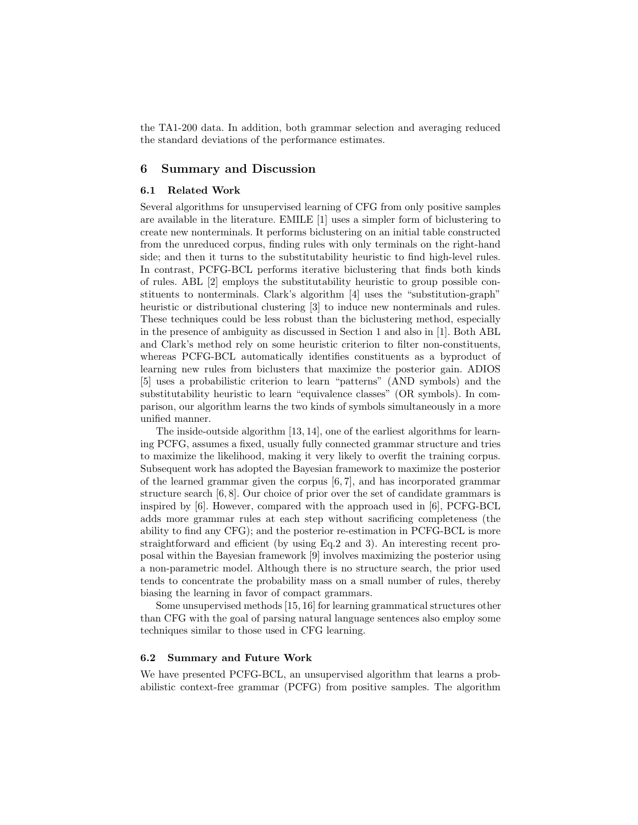the TA1-200 data. In addition, both grammar selection and averaging reduced the standard deviations of the performance estimates.

## 6 Summary and Discussion

#### 6.1 Related Work

Several algorithms for unsupervised learning of CFG from only positive samples are available in the literature. EMILE [1] uses a simpler form of biclustering to create new nonterminals. It performs biclustering on an initial table constructed from the unreduced corpus, finding rules with only terminals on the right-hand side; and then it turns to the substitutability heuristic to find high-level rules. In contrast, PCFG-BCL performs iterative biclustering that finds both kinds of rules. ABL [2] employs the substitutability heuristic to group possible constituents to nonterminals. Clark's algorithm [4] uses the "substitution-graph" heuristic or distributional clustering [3] to induce new nonterminals and rules. These techniques could be less robust than the biclustering method, especially in the presence of ambiguity as discussed in Section 1 and also in [1]. Both ABL and Clark's method rely on some heuristic criterion to filter non-constituents, whereas PCFG-BCL automatically identifies constituents as a byproduct of learning new rules from biclusters that maximize the posterior gain. ADIOS [5] uses a probabilistic criterion to learn "patterns" (AND symbols) and the substitutability heuristic to learn "equivalence classes" (OR symbols). In comparison, our algorithm learns the two kinds of symbols simultaneously in a more unified manner.

The inside-outside algorithm [13, 14], one of the earliest algorithms for learning PCFG, assumes a fixed, usually fully connected grammar structure and tries to maximize the likelihood, making it very likely to overfit the training corpus. Subsequent work has adopted the Bayesian framework to maximize the posterior of the learned grammar given the corpus [6, 7], and has incorporated grammar structure search [6, 8]. Our choice of prior over the set of candidate grammars is inspired by [6]. However, compared with the approach used in [6], PCFG-BCL adds more grammar rules at each step without sacrificing completeness (the ability to find any CFG); and the posterior re-estimation in PCFG-BCL is more straightforward and efficient (by using Eq.2 and 3). An interesting recent proposal within the Bayesian framework [9] involves maximizing the posterior using a non-parametric model. Although there is no structure search, the prior used tends to concentrate the probability mass on a small number of rules, thereby biasing the learning in favor of compact grammars.

Some unsupervised methods [15, 16] for learning grammatical structures other than CFG with the goal of parsing natural language sentences also employ some techniques similar to those used in CFG learning.

#### 6.2 Summary and Future Work

We have presented PCFG-BCL, an unsupervised algorithm that learns a probabilistic context-free grammar (PCFG) from positive samples. The algorithm